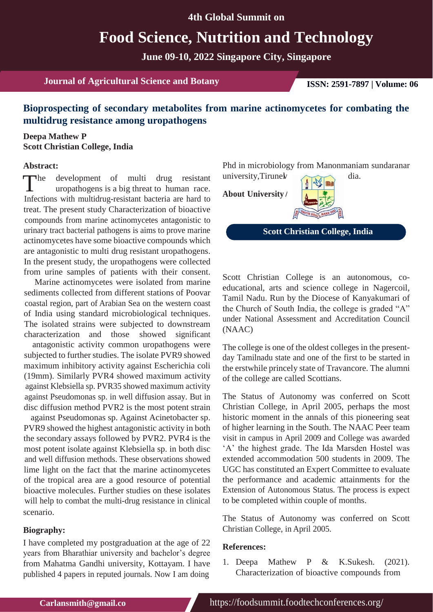# **Food Science, Nutrition and Technology**

**June 09-10, 2022 Singapore City, Singapore**

**Journal of Agricultural Science and Botany <b>ISSN: 2591-7897 | Volume: 06** 

## **Bioprospecting of secondary metabolites from marine actinomycetes for combating the multidrug resistance among uropathogens**

#### **Deepa Mathew P Scott Christian College, India**

#### **Abstract:**

The development of multi drug resistant university, Tirune with propartiogens is a big threat to human race.<br>Infections with multidrus resistant because one head to **About University** uropathogens is a big threat to human race. Infections with multidrug-resistant bacteria are hard to treat. The present study Characterization of bioactive compounds from marine actinomycetes antagonistic to urinary tract bacterial pathogens is aims to prove marine actinomycetes have some bioactive compounds which are antagonistic to multi drug resistant uropathogens. In the present study, the uropathogens were collected from urine samples of patients with their consent.

Marine actinomycetes were isolated from marine sediments collected from different stations of Poovar coastal region, part of Arabian Sea on the western coast of India using standard microbiological techniques. The isolated strains were subjected to downstream characterization and those showed significant

antagonistic activity common uropathogens were subjected to further studies. The isolate PVR9 showed maximum inhibitory activity against Escherichia coli (19mm). Similarly PVR4 showed maximum activity against Klebsiella sp. PVR35 showed maximum activity against Pseudomonas sp. in well diffusion assay. But in disc diffusion method PVR2 is the most potent strain

against Pseudomonas sp. Against Acinetobacter sp. PVR9 showed the highest antagonistic activity in both the secondary assays followed by PVR2. PVR4 is the most potent isolate against Klebsiella sp. in both disc and well diffusion methods. These observations showed lime light on the fact that the marine actinomycetes of the tropical area are a good resource of potential bioactive molecules. Further studies on these isolates will help to combat the multi-drug resistance in clinical scenario.

#### **Biography:**

I have completed my postgraduation at the age of 22 years from Bharathiar university and bachelor's degree from Mahatma Gandhi university, Kottayam. I have published 4 papers in reputed journals. Now I am doing

Phd in microbiology from Manonmaniam sundaranar university, Tirunel dia.

**About University**



**Scott Christian College, India**

Scott Christian College is an autonomous, coeducational, arts and science college in Nagercoil, Tamil Nadu. Run by the Diocese of Kanyakumari of the Church of South India, the college is graded "A" under National Assessment and Accreditation Council (NAAC)

The college is one of the oldest colleges in the presentday Tamilnadu state and one of the first to be started in the erstwhile princely state of Travancore. The alumni of the college are called Scottians.

The Status of Autonomy was conferred on Scott Christian College, in April 2005, perhaps the most historic moment in the annals of this pioneering seat of higher learning in the South. The NAAC Peer team visit in campus in April 2009 and College was awarded 'A' the highest grade. The Ida Marsden Hostel was extended accommodation 500 students in 2009. The UGC has constituted an Expert Committee to evaluate the performance and academic attainments for the Extension of Autonomous Status. The process is expect to be completed within couple of months.

The Status of Autonomy was conferred on Scott Christian College, in April 2005.

#### **References:**

1. Deepa Mathew P & K.Sukesh. (2021). Characterization of bioactive compounds from